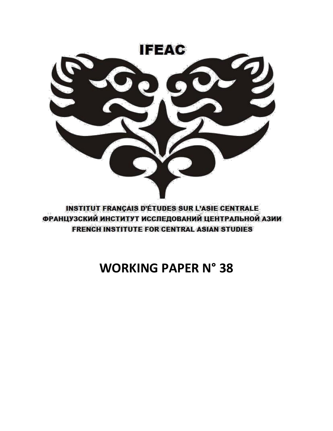

**INSTITUT FRANÇAIS D'ÉTUDES SUR L'ASIE CENTRALE** ФРАНЦУЗСКИЙ ИНСТИТУТ ИССЛЕДОВАНИЙ ЦЕНТРАЛЬНОЙ АЗИИ **FRENCH INSTITUTE FOR CENTRAL ASIAN STUDIES** 

# **WORKING PAPER N° 38**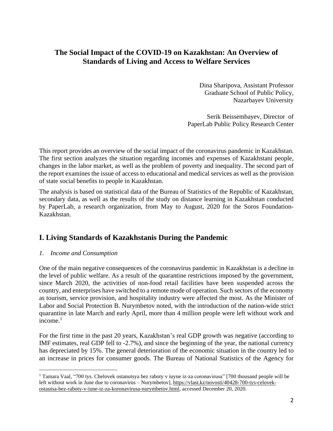# **The Social Impact of the COVID-19 on Kazakhstan: An Overview of Standards of Living and Access to Welfare Services**

Dina Sharipova, Assistant Professor Graduate School of Public Policy, Nazarbayev University

Serik Beissembayev, Director of PaperLab Public Policy Research Center

This report provides an overview of the social impact of the coronavirus pandemic in Kazakhstan. The first section analyzes the situation regarding incomes and expenses of Kazakhstani people, changes in the labor market, as well as the problem of poverty and inequality. The second part of the report examines the issue of access to educational and medical services as well as the provision of state social benefits to people in Kazakhstan.

The analysis is based on statistical data of the Bureau of Statistics of the Republic of Kazakhstan, secondary data, as well as the results of the study on distance learning in Kazakhstan conducted by PaperLab, a research organization, from May to August, 2020 for the Soros Foundation-Kazakhstan.

# **I. Living Standards of Kazakhstanis During the Pandemic**

## *1. Income and Consumption*

One of the main negative consequences of the coronavirus pandemic in Kazakhstan is a decline in the level of public welfare. As a result of the quarantine restrictions imposed by the government, since March 2020, the activities of non-food retail facilities have been suspended across the country, and enterprises have switched to a remote mode of operation. Such sectors of the economy as tourism, service provision, and hospitality industry were affected the most. As the Minister of Labor and Social Protection B. Nurymbetov noted, with the introduction of the nation-wide strict quarantine in late March and early April, more than 4 million people were left without work and  $income.<sup>1</sup>$ 

For the first time in the past 20 years, Kazakhstan's real GDP growth was negative (according to IMF estimates, real GDP fell to -2.7%), and since the beginning of the year, the national currency has depreciated by 15%. The general deterioration of the economic situation in the country led to an increase in prices for consumer goods. The Bureau of National Statistics of the Agency for

<sup>1</sup> Tamara Vaal, "700 tys. Chelovek ostanutsya bez raboty v iuyne iz-za coronavirusa" [700 thousand people will be left without work in June due to coronavirus – Nurymbetov], [https://vlast.kz/novosti/40428-700-tys-celovek](https://vlast.kz/novosti/40428-700-tys-celovek-ostautsa-bez-raboty-v-iune-iz-za-koronavirusa-nurymbetov.html)[ostautsa-bez-raboty-v-iune-iz-za-koronavirusa-nurymbetov.html,](https://vlast.kz/novosti/40428-700-tys-celovek-ostautsa-bez-raboty-v-iune-iz-za-koronavirusa-nurymbetov.html) accessed December 20, 2020.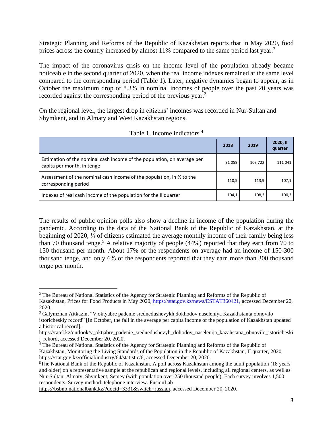Strategic Planning and Reforms of the Republic of Kazakhstan reports that in May 2020, food prices across the country increased by almost 11% compared to the same period last year.<sup>2</sup>

The impact of the coronavirus crisis on the income level of the population already became noticeable in the second quarter of 2020, when the real income indexes remained at the same level compared to the corresponding period (Table 1). Later, negative dynamics began to appear, as in October the maximum drop of 8.3% in nominal incomes of people over the past 20 years was recorded against the corresponding period of the previous year.<sup>3</sup>

On the regional level, the largest drop in citizens' incomes was recorded in Nur-Sultan and Shymkent, and in Almaty and West Kazakhstan regions.

|                                                                                                       | 2018   | 2019    | 2020, II<br>quarter |
|-------------------------------------------------------------------------------------------------------|--------|---------|---------------------|
| Estimation of the nominal cash income of the population, on average per<br>capita per month, in tenge | 91 059 | 103 722 | 111 041             |
| Assessment of the nominal cash income of the population, in % to the<br>corresponding period          | 110,5  | 113.9   | 107,1               |
| Indexes of real cash income of the population for the II quarter                                      | 104,1  | 108,3   | 100,3               |

Table 1. Income indicators <sup>4</sup>

The results of public opinion polls also show a decline in income of the population during the pandemic. According to the data of the National Bank of the Republic of Kazakhstan, at the beginning of 2020, ¼ of citizens estimated the average monthly income of their family being less than 70 thousand tenge.<sup>5</sup> A relative majority of people (44%) reported that they earn from 70 to 150 thousand per month. About 17% of the respondents on average had an income of 150-300 thousand tenge, and only 6% of the respondents reported that they earn more than 300 thousand tenge per month.

[https://bsbnb.nationalbank.kz/?docid=3331&switch=russian,](https://bsbnb.nationalbank.kz/?docid=3331&switch=russian) accessed December 20, 2020.

<sup>&</sup>lt;sup>2</sup> The Bureau of National Statistics of the Agency for Strategic Planning and Reforms of the Republic of Kazakhstan, Prices for Food Products in May 2020, [https://stat.gov.kz/news/ESTAT360421,](https://stat.gov.kz/news/ESTAT360421) accessed December 20, 2020.

<sup>3</sup> Galymzhan Aitkazin, "V oktyabre padenie srednedushevykh dokhodov naseleniya Kazakhstanta obnovilo istoricheskiy record" [In October, the fall in the average per capita income of the population of Kazakhstan updated a historical record],

[https://ratel.kz/outlook/v\\_oktjabre\\_padenie\\_srednedushevyh\\_dohodov\\_naselenija\\_kazahstana\\_obnovilo\\_istoricheski](https://ratel.kz/outlook/v_oktjabre_padenie_srednedushevyh_dohodov_naselenija_kazahstana_obnovilo_istoricheskij_rekord) i\_rekord, accessed December 20, 2020.

*<sup>4</sup>* The Bureau of National Statistics of the Agency for Strategic Planning and Reforms of the Republic of Kazakhstan, Monitoring the Living Standards of the Population in the Republic of Kazakhstan, II quarter, 2020. [https://stat.gov.kz/official/industry/64/statistic/6,](https://stat.gov.kz/official/industry/64/statistic/6) accessed December 20, 2020.

<sup>5</sup>The National Bank of the Republic of Kazakhstan. A poll across Kazakhstan among the adult population (18 years and older) on a representative sample at the republican and regional levels, including all regional centers, as well as Nur-Sultan, Almaty, Shymkent, Semey (with population over 250 thousand people). Each survey involves 1,500 respondents. Survey method: telephone interview. FusionLab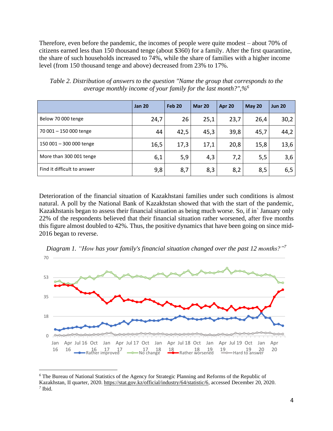Therefore, even before the pandemic, the incomes of people were quite modest – about 70% of citizens earned less than 150 thousand tenge (about \$360) for a family. After the first quarantine, the share of such households increased to 74%, while the share of families with a higher income level (from 150 thousand tenge and above) decreased from 23% to 17%.

|                             | <b>Jan 20</b> | <b>Feb 20</b> | <b>Mar 20</b> | Apr 20 | <b>May 20</b> | <b>Jun 20</b> |
|-----------------------------|---------------|---------------|---------------|--------|---------------|---------------|
| Below 70 000 tenge          | 24,7          | 26            | 25,1          | 23,7   | 26,4          | 30,2          |
| 70 001 - 150 000 tenge      | 44            | 42,5          | 45,3          | 39,8   | 45,7          | 44,2          |
| 150 001 - 300 000 tenge     | 16,5          | 17,3          | 17,1          | 20,8   | 15,8          | 13,6          |
| More than 300 001 tenge     | 6,1           | 5,9           | 4,3           | 7,2    | 5,5           | 3,6           |
| Find it difficult to answer | 9,8           | 8,7           | 8,3           | 8,2    | 8,5           | 6,5           |

*Table 2. Distribution of answers to the question "Name the group that corresponds to the average monthly income of your family for the last month?",%<sup>6</sup>*

Deterioration of the financial situation of Kazakhstani families under such conditions is almost natural. A poll by the National Bank of Kazakhstan showed that with the start of the pandemic, Kazakhstanis began to assess their financial situation as being much worse. So, if in` January only 22% of the respondents believed that their financial situation rather worsened, after five months this figure almost doubled to 42%. Thus, the positive dynamics that have been going on since mid-2016 began to reverse.



*Diagram 1. "How has your family's financial situation changed over the past 12 months?"<sup>7</sup>*

*<sup>6</sup>* The Bureau of National Statistics of the Agency for Strategic Planning and Reforms of the Republic of Kazakhstan, II quarter, 2020. [https://stat.gov.kz/official/industry/64/statistic/6,](https://stat.gov.kz/official/industry/64/statistic/6) accessed December 20, 2020. *7* Ibid.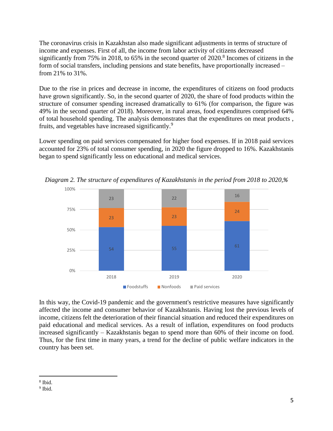The coronavirus crisis in Kazakhstan also made significant adjustments in terms of structure of income and expenses. First of all, the income from labor activity of citizens decreased significantly from 75% in 2018, to 65% in the second quarter of 2020.<sup>8</sup> Incomes of citizens in the form of social transfers, including pensions and state benefits, have proportionally increased – from 21% to 31%.

Due to the rise in prices and decrease in income, the expenditures of citizens on food products have grown significantly. So, in the second quarter of 2020, the share of food products within the structure of consumer spending increased dramatically to 61% (for comparison, the figure was 49% in the second quarter of 2018). Moreover, in rural areas, food expenditures comprised 64% of total household spending. The analysis demonstrates that the expenditures on meat products , fruits, and vegetables have increased significantly.<sup>9</sup>

Lower spending on paid services compensated for higher food expenses. If in 2018 paid services accounted for 23% of total consumer spending, in 2020 the figure dropped to 16%. Kazakhstanis began to spend significantly less on educational and medical services.



*Diagram 2. The structure of expenditures of Kazakhstanis in the period from 2018 to 2020,%*

In this way, the Covid-19 pandemic and the government's restrictive measures have significantly affected the income and consumer behavior of Kazakhstanis. Having lost the previous levels of income, citizens felt the deterioration of their financial situation and reduced their expenditures on paid educational and medical services. As a result of inflation, expenditures on food products increased significantly – Kazakhstanis began to spend more than 60% of their income on food. Thus, for the first time in many years, a trend for the decline of public welfare indicators in the country has been set.

<sup>8</sup> Ibid.

<sup>&</sup>lt;sup>9</sup> Ibid.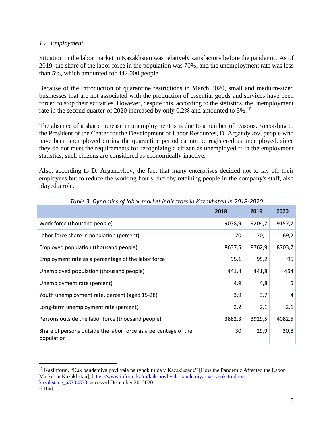### *1.2. Employment*

Situation in the labor market in Kazakhstan was relatively satisfactory before the pandemic. As of 2019, the share of the labor force in the population was 70%, and the unemployment rate was less than 5%, which amounted for 442,000 people.

Because of the introduction of quarantine restrictions in March 2020, small and medium-sized businesses that are not associated with the production of essential goods and services have been forced to stop their activities. However, despite this, according to the statistics, the unemployment rate in the second quarter of 2020 increased by only 0.2% and amounted to 5%.<sup>10</sup>

The absence of a sharp increase in unemployment is is due to a number of reasons. According to the President of the Center for the Development of Labor Resources, D. Argandykov, people who have been unemployed during the quarantine period cannot be registered as unemployed, since they do not meet the requirements for recognizing a citizen as unemployed.<sup>11</sup> In the employment statistics, such citizens are considered as economically inactive.

Also, according to D. Argandykov, the fact that many enterprises decided not to lay off their employees but to reduce the working hours, thereby retaining people in the company's staff, also played a role.

|                                                                               | 2018   | 2019   | 2020   |
|-------------------------------------------------------------------------------|--------|--------|--------|
| Work force (thousand people)                                                  | 9078,9 | 9204,7 | 9157,7 |
| Labor force share in population (percent)                                     | 70     | 70,1   | 69,2   |
| Employed population (thousand people)                                         | 8637,5 | 8762,9 | 8703,7 |
| Employment rate as a percentage of the labor force                            | 95,1   | 95,2   | 95     |
| Unemployed population (thousand people)                                       | 441,4  | 441,8  | 454    |
| Unemployment rate (percent)                                                   | 4,9    | 4,8    | 5      |
| Youth unemployment rate, percent (aged 15-28)                                 | 3,9    | 3,7    | 4      |
| Long-term unemployment rate (percent)                                         | 2,2    | 2,1    | 2,1    |
| Persons outside the labor force (thousand people)                             | 3882,3 | 3929,5 | 4082,5 |
| Share of persons outside the labor force as a percentage of the<br>population | 30     | 29,9   | 30,8   |

*Table 3. Dynamics of labor market indicators in Kazakhstan in 2018-2020*

<sup>&</sup>lt;sup>10</sup> KazInform, "Kak pandemiya povliyala na rynok truda v Kazakhstane" [How the Pandemic Affected the Labor Market in Kazakhstan], [https://www.inform.kz/ru/kak-povliyala-pandemiya-na-rynok-truda-v](https://www.inform.kz/ru/kak-povliyala-pandemiya-na-rynok-truda-v-kazahstane_a3704373)[kazahstane\\_a3704373,](https://www.inform.kz/ru/kak-povliyala-pandemiya-na-rynok-truda-v-kazahstane_a3704373) accessed December 20, 2020.

 $11$  Ibid.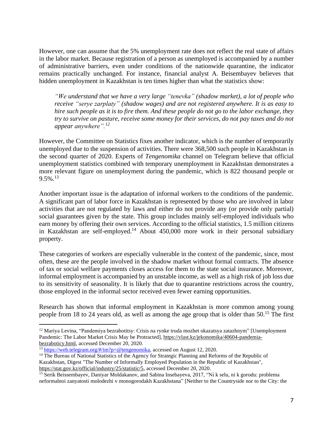However, one can assume that the 5% unemployment rate does not reflect the real state of affairs in the labor market. Because registration of a person as unemployed is accompanied by a number of administrative barriers, even under conditions of the nationwide quarantine, the indicator remains practically unchanged. For instance, financial analyst A. Beisembayev believes that hidden unemployment in Kazakhstan is ten times higher than what the statistics show:

*"We understand that we have a very large "tenevka" (shadow market), a lot of people who receive "serye zarplaty" (shadow wages) and are not registered anywhere. It is as easy to* hire such people as it is to fire them. And these people do not go to the labor exchange, they *try to survive on pasture, receive some money for their services, do not pay taxes and do not appear anywhere".<sup>12</sup>*

However, the Committee on Statistics fixes another indicator, which is the number of temporarily unemployed due to the suspension of activities. There were 368,500 such people in Kazakhstan in the second quarter of 2020. Experts of *Tengenomika* channel on Telegram believe that official unemployment statistics combined with temporary unemployment in Kazakhstan demonstrates a more relevant figure on unemployment during the pandemic, which is 822 thousand people or  $9.5\%$ <sup>13</sup>

Another important issue is the adaptation of informal workers to the conditions of the pandemic. A significant part of labor force in Kazakhstan is represented by those who are involved in labor activities that are not regulated by laws and either do not provide any (or provide only partial) social guarantees given by the state. This group includes mainly self-employed individuals who earn money by offering their own services. According to the official statistics, 1.5 million citizens in Kazakhstan are self-employed.<sup>14</sup> About  $450,000$  more work in their personal subsidiary property.

These categories of workers are especially vulnerable in the context of the pandemic, since, most often, these are the people involved in the shadow market without formal contracts. The absence of tax or social welfare payments closes access for them to the state social insurance. Moreover, informal employment is accompanied by an unstable income, as well as a high risk of job loss due to its sensitivity of seasonality. It is likely that due to quarantine restrictions across the country, those employed in the informal sector received even fewer earning opportunities.

Research has shown that informal employment in Kazakhstan is more common among young people from 18 to 24 years old, as well as among the age group that is older than  $50^{15}$ . The first

*<sup>12</sup>* Mariya Levina, "Pandemiya bezrabotitsy: Crisis na rynke truda mozhet okazatsya zatazhnym" [Unemployment Pandemic: The Labor Market Crisis May be Protracted], [https://vlast.kz/jekonomika/40604-pandemia](https://vlast.kz/jekonomika/40604-pandemia-bezraboticy.html)[bezraboticy.html,](https://vlast.kz/jekonomika/40604-pandemia-bezraboticy.html) accessed December 20, 2020.

<sup>13</sup> [https://web.telegram.org/#/im?p=@tengenomika,](https://web.telegram.org/#/im?p=@tengenomika) accessed on August 12, 2020.

<sup>&</sup>lt;sup>14</sup> The Bureau of National Statistics of the Agency for Strategic Planning and Reforms of the Republic of Kazakhstan, Digest "The Number of Informally Employed Population in the Republic of Kazakhstan", [https://stat.gov.kz/official/industry/25/statistic/5,](https://stat.gov.kz/official/industry/25/statistic/5) accessed December 20, 2020.

<sup>&</sup>lt;sup>15</sup> Serik Beissembayev, Daniyar Moldakanov, and Sabina Insebayeva, 2017, "Ni k selu, ni k gorodu: problema neformalnoi zanyatosti molodezhi v monogorodakh Kazakhstana" [Neither to the Countryside nor to the City: the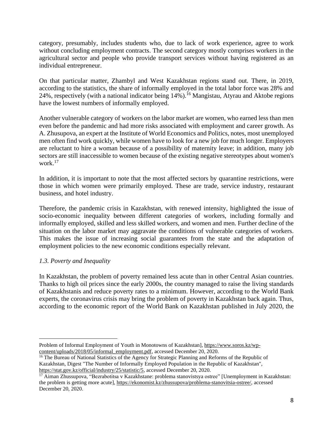category, presumably, includes students who, due to lack of work experience, agree to work without concluding employment contracts. The second category mostly comprises workers in the agricultural sector and people who provide transport services without having registered as an individual entrepreneur.

On that particular matter, Zhambyl and West Kazakhstan regions stand out. There, in 2019, according to the statistics, the share of informally employed in the total labor force was 28% and 24%, respectively (with a national indicator being  $14\%$ ).<sup>16</sup> Mangistau, Atyrau and Aktobe regions have the lowest numbers of informally employed.

Another vulnerable category of workers on the labor market are women, who earned less than men even before the pandemic and had more risks associated with employment and career growth. As A. Zhusupova, an expert at the Institute of World Economics and Politics, notes, most unemployed men often find work quickly, while women have to look for a new job for much longer. Employers are reluctant to hire a woman because of a possibility of maternity leave; in addition, many job sectors are still inaccessible to women because of the existing negative stereotypes about women's work.<sup>17</sup>

In addition, it is important to note that the most affected sectors by quarantine restrictions, were those in which women were primarily employed. These are trade, service industry, restaurant business, and hotel industry.

Therefore, the pandemic crisis in Kazakhstan, with renewed intensity, highlighted the issue of socio-economic inequality between different categories of workers, including formally and informally employed, skilled and less skilled workers, and women and men. Further decline of the situation on the labor market may aggravate the conditions of vulnerable categories of workers. This makes the issue of increasing social guarantees from the state and the adaptation of employment policies to the new economic conditions especially relevant.

## *1.3. Poverty and Inequality*

In Kazakhstan, the problem of poverty remained less acute than in other Central Asian countries. Thanks to high oil prices since the early 2000s, the country managed to raise the living standards of Kazakhstanis and reduce poverty rates to a minimum. However, according to the World Bank experts, the coronavirus crisis may bring the problem of poverty in Kazakhstan back again. Thus, according to the economic report of the World Bank on Kazakhstan published in July 2020, the

Problem of Informal Employment of Youth in Monotowns of Kazakhstan], [https://www.soros.kz/wp](https://www.soros.kz/wp-content/uploads/2018/05/informal_employment.pdf)[content/uploads/2018/05/informal\\_employment.pdf,](https://www.soros.kz/wp-content/uploads/2018/05/informal_employment.pdf) accessed December 20, 2020.

<sup>&</sup>lt;sup>16</sup> The Bureau of National Statistics of the Agency for Strategic Planning and Reforms of the Republic of Kazakhstan, Digest "The Number of Informally Employed Population in the Republic of Kazakhstan", [https://stat.gov.kz/official/industry/25/statistic/5,](https://stat.gov.kz/official/industry/25/statistic/5) accessed December 20, 2020.

<sup>&</sup>lt;sup>17</sup> Aiman Zhussupova, "Bezrabotitsa v Kazakhstane: problema stanovistsya ostree" [Unemployment in Kazakhstan: the problem is getting more acute], [https://ekonomist.kz/zhussupova/problema-stanovitsia-ostree/,](https://ekonomist.kz/zhussupova/problema-stanovitsia-ostree/) accessed December 20, 2020.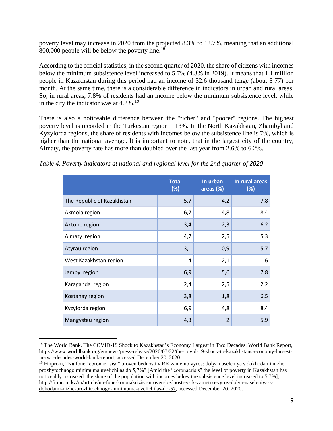poverty level may increase in 2020 from the projected 8.3% to 12.7%, meaning that an additional 800,000 people will be below the poverty line.<sup>18</sup>

According to the official statistics, in the second quarter of 2020, the share of citizens with incomes below the minimum subsistence level increased to 5.7% (4.3% in 2019). It means that 1.1 million people in Kazakhstan during this period had an income of 32.6 thousand tenge (about \$ 77) per month. At the same time, there is a considerable difference in indicators in urban and rural areas. So, in rural areas, 7.8% of residents had an income below the minimum subsistence level, while in the city the indicator was at  $4.2\%$ .<sup>19</sup>

There is also a noticeable difference between the "richer" and "poorer" regions. The highest poverty level is recorded in the Turkestan region – 13%. In the North Kazakhstan, Zhambyl and Kyzylorda regions, the share of residents with incomes below the subsistence line is 7%, which is higher than the national average. It is important to note, that in the largest city of the country, Almaty, the poverty rate has more than doubled over the last year from 2.6% to 6.2%.

*Table 4. Poverty indicators at national and regional level for the 2nd quarter of 2020*

|                            | <b>Total</b><br>(%) | In urban<br>areas $(%$ | In rural areas<br>(%) |
|----------------------------|---------------------|------------------------|-----------------------|
| The Republic of Kazakhstan | 5,7                 | 4,2                    | 7,8                   |
| Akmola region              | 6,7                 | 4,8                    | 8,4                   |
| Aktobe region              | 3,4                 | 2,3                    | 6,2                   |
| Almaty region              | 4,7                 | 2,5                    | 5,3                   |
| Atyrau region              | 3,1                 | 0,9                    | 5,7                   |
| West Kazakhstan region     | 4                   | 2,1                    | 6                     |
| Jambyl region              | 6,9                 | 5,6                    | 7,8                   |
| Karaganda region           | 2,4                 | 2,5                    | 2,2                   |
| Kostanay region            | 3,8                 | 1,8                    | 6, 5                  |
| Kyzylorda region           | 6,9                 | 4,8                    | 8,4                   |
| Mangystau region           | 4,3                 | $\overline{2}$         | 5,9                   |

<sup>&</sup>lt;sup>18</sup> The World Bank, The COVID-19 Shock to Kazakhstan's Economy Largest in Two Decades: World Bank Report, [https://www.worldbank.org/en/news/press-release/2020/07/22/the-covid-19-shock-to-kazakhstans-economy-largest](https://www.worldbank.org/en/news/press-release/2020/07/22/the-covid-19-shock-to-kazakhstans-economy-largest-in-two-decades-world-bank-report)[in-two-decades-world-bank-report,](https://www.worldbank.org/en/news/press-release/2020/07/22/the-covid-19-shock-to-kazakhstans-economy-largest-in-two-decades-world-bank-report) accessed December 20, 2020.

 $19$  Finprom, "Na fone "coronacrisisa" uroven bednosti v RK zametno vyros: dolya naseleniya s dokhodami nizhe prozhytochnogo minimuma uvelichilas do 5,7%" [Amid the "coronacrisis" the level of poverty in Kazakhstan has noticeably increased: the share of the population with incomes below the subsistence level increased to 5.7%], [http://finprom.kz/ru/article/na-fone-koronakrizisa-uroven-bednosti-v-rk-zametno-vyros-dolya-naseleniya-s](http://finprom.kz/ru/article/na-fone-koronakrizisa-uroven-bednosti-v-rk-zametno-vyros-dolya-naseleniya-s-dohodami-nizhe-prozhitochnogo-minimuma-uvelichilas-do-57)[dohodami-nizhe-prozhitochnogo-minimuma-uvelichilas-do-57,](http://finprom.kz/ru/article/na-fone-koronakrizisa-uroven-bednosti-v-rk-zametno-vyros-dolya-naseleniya-s-dohodami-nizhe-prozhitochnogo-minimuma-uvelichilas-do-57) accessed December 20, 2020.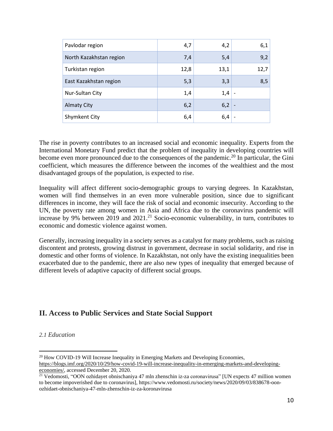| Pavlodar region         | 4,7  | 4,2  | 6,1                      |
|-------------------------|------|------|--------------------------|
| North Kazakhstan region | 7,4  | 5,4  | 9,2                      |
| Turkistan region        | 12,8 | 13,1 | 12,7                     |
| East Kazakhstan region  | 5,3  | 3,3  | 8,5                      |
| Nur-Sultan City         | 1,4  | 1,4  |                          |
| <b>Almaty City</b>      | 6,2  | 6,2  | $\overline{\phantom{a}}$ |
| <b>Shymkent City</b>    | 6,4  | 6,4  |                          |

The rise in poverty contributes to an increased social and economic inequality. Experts from the International Monetary Fund predict that the problem of inequality in developing countries will become even more pronounced due to the consequences of the pandemic.<sup>20</sup> In particular, the Gini coefficient, which measures the difference between the incomes of the wealthiest and the most disadvantaged groups of the population, is expected to rise.

Inequality will affect different socio-demographic groups to varying degrees. In Kazakhstan, women will find themselves in an even more vulnerable position, since due to significant differences in income, they will face the risk of social and economic insecurity. According to the UN, the poverty rate among women in Asia and Africa due to the coronavirus pandemic will increase by 9% between 2019 and 2021.<sup>21</sup> Socio-economic vulnerability, in turn, contributes to economic and domestic violence against women.

Generally, increasing inequality in a society serves as a catalyst for many problems, such as raising discontent and protests, growing distrust in government, decrease in social solidarity, and rise in domestic and other forms of violence. In Kazakhstan, not only have the existing inequalities been exacerbated due to the pandemic, there are also new types of inequality that emerged because of different levels of adaptive capacity of different social groups.

# **II. Access to Public Services and State Social Support**

#### *2.1 Education*

<sup>&</sup>lt;sup>20</sup> How COVID-19 Will Increase Inequality in Emerging Markets and Developing Economies, [https://blogs.imf.org/2020/10/29/how-covid-19-will-increase-inequality-in-emerging-markets-and-developing](https://blogs.imf.org/2020/10/29/how-covid-19-will-increase-inequality-in-emerging-markets-and-developing-economies/)[economies/,](https://blogs.imf.org/2020/10/29/how-covid-19-will-increase-inequality-in-emerging-markets-and-developing-economies/) accessed December 20, 2020.

<sup>&</sup>lt;sup>21</sup> Vedomosti, "OON ozhidayet obnischaniya 47 mln zhenschin iz-za coronavirusa" [UN expects 47 million women to become impoverished due to coronavirus], https://www.vedomosti.ru/society/news/2020/09/03/838678-oonozhidaet-obnischaniya-47-mln-zhenschin-iz-za-koronavirusa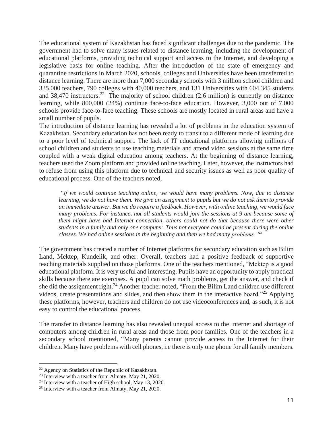The educational system of Kazakhstan has faced significant challenges due to the pandemic. The government had to solve many issues related to distance learning, including the development of educational platforms, providing technical support and access to the Internet, and developing a legislative basis for online teaching. After the introduction of the state of emergency and quarantine restrictions in March 2020, schools, colleges and Universities have been transferred to distance learning. There are more than 7,000 secondary schools with 3 million school children and 335,000 teachers, 790 colleges with 40,000 teachers, and 131 Universities with 604,345 students and  $38,470$  instructors.<sup>22</sup> The majority of school children (2.6 million) is currently on distance learning, while 800,000 (24%) continue face-to-face education. However, 3,000 out of 7,000 schools provide face-to-face teaching. These schools are mostly located in rural areas and have a small number of pupils.

The introduction of distance learning has revealed a lot of problems in the education system of Kazakhstan. Secondary education has not been ready to transit to a different mode of learning due to a poor level of technical support. The lack of IT educational platforms allowing millions of school children and students to use teaching materials and attend video sessions at the same time coupled with a weak digital education among teachers. At the beginning of distance learning, teachers used the Zoom platform and provided online teaching. Later, however, the instructors had to refuse from using this platform due to technical and security issues as well as poor quality of educational process. One of the teachers noted,

*"If we would continue teaching online, we would have many problems. Now, due to distance* learning, we do not have them. We give an assignment to pupils but we do not ask them to provide *an immediate answer. But we do require a feedback. However, with online teaching, we would face many problems. For instance, not all students would join the sessions at 9 am because some of them might have bad Internet connection, others could not do that because there were other students in a family and only one computer. Thus not everyone could be present during the online classes. We had online sessions in the beginning and then we had many problems."<sup>23</sup>*

The government has created a number of Internet platforms for secondary education such as Bilim Land, Mektep, Kundelik, and other. Overall, teachers had a positive feedback of supportive teaching materials supplied on those platforms. One of the teachers mentioned, "Mektep is a good educational platform. It is very useful and interesting. Pupils have an opportunity to apply practical skills because there are exercises. A pupil can solve math problems, get the answer, and check if she did the assignment right.<sup>24</sup> Another teacher noted, "From the Bilim Land children use different videos, create presentations and slides, and then show them in the interactive board."<sup>25</sup> Applying these platforms, however, teachers and children do not use videoconferences and, as such, it is not easy to control the educational process.

The transfer to distance learning has also revealed unequal access to the Internet and shortage of computers among children in rural areas and those from poor families. One of the teachers in a secondary school mentioned, "Many parents cannot provide access to the Internet for their children. Many have problems with cell phones, i.e there is only one phone for all family members.

 $22$  Agency on Statistics of the Republic of Kazakhstan.

<sup>&</sup>lt;sup>23</sup> Interview with a teacher from Almaty, May 21, 2020.

<sup>&</sup>lt;sup>24</sup> Interview with a teacher of High school, May 13, 2020.

<sup>25</sup> Interview with a teacher from Almaty, May 21, 2020.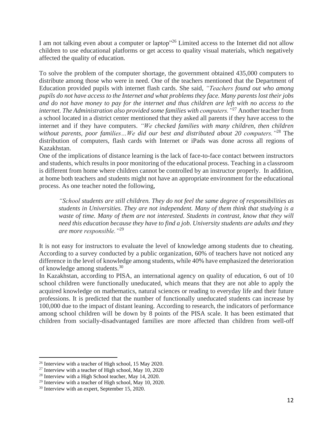I am not talking even about a computer or laptop"<sup>26</sup> Limited access to the Internet did not allow children to use educational platforms or get access to quality visual materials, which negatively affected the quality of education.

To solve the problem of the computer shortage, the government obtained 435,000 computers to distribute among those who were in need. One of the teachers mentioned that the Department of Education provided pupils with internet flash cards. She said, *"Teachers found out who among* pupils do not have access to the Internet and what problems they face. Many parents lost their jobs and do not have money to pay for the internet and thus children are left with no access to the *internet. The Administration also provided some families with computers."*<sup>27</sup> Another teacher from a school located in a district center mentioned that they asked all parents if they have access to the internet and if they have computers. *"We checked families with many children, then children without parents, poor families…We did our best and distributed about 20 computers."*<sup>28</sup> The distribution of computers, flash cards with Internet or iPads was done across all regions of Kazakhstan.

One of the implications of distance learning is the lack of face-to-face contact between instructors and students, which results in poor monitoring of the educational process. Teaching in a classroom is different from home where children cannot be controlled by an instructor properly. In addition, at home both teachers and students might not have an appropriate environment for the educational process. As one teacher noted the following,

*"School students are still children. They do not feel the same degree of responsibilities as students in Universities. They are not independent. Many of them think that studying is a waste of time. Many of them are not interested. Students in contrast, know that they will need this education because they have to find a job. University students are adults and they are more responsible."*<sup>29</sup>

It is not easy for instructors to evaluate the level of knowledge among students due to cheating. According to a survey conducted by a public organization, 60% of teachers have not noticed any difference in the level of knowledge among students, while 40% have emphasized the deterioration of knowledge among students.<sup>30</sup>

In Kazakhstan, according to PISA, an international agency on quality of education, 6 out of 10 school children were functionally uneducated, which means that they are not able to apply the acquired knowledge on mathematics, natural sciences or reading to everyday life and their future professions. It is predicted that the number of functionally uneducated students can increase by 100,000 due to the impact of distant leaning. According to research, the indicators of performance among school children will be down by 8 points of the PISA scale. It has been estimated that children from socially-disadvantaged families are more affected than children from well-off

<sup>26</sup> Interview with a teacher of High school, 15 May 2020.

 $27$  Interview with a teacher of High school, May 10, 2020

<sup>&</sup>lt;sup>28</sup> Interview with a High School teacher, May 14, 2020.

<sup>&</sup>lt;sup>29</sup> Interview with a teacher of High school, May 10, 2020.

<sup>30</sup> Interview with an expert, September 15, 2020.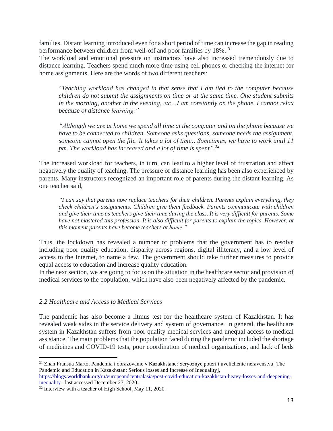families. Distant learning introduced even for a short period of time can increase the gap in reading performance between children from well-off and poor families by 18%. <sup>31</sup>

The workload and emotional pressure on instructors have also increased tremendously due to distance learning. Teachers spend much more time using cell phones or checking the internet for home assignments. Here are the words of two different teachers:

"*Teaching workload has changed in that sense that I am tied to the computer because children do not submit the assignments on time or at the same time. One student submits in the morning, another in the evening, etc…I am constantly on the phone. I cannot relax because of distance learning."*

*"Although we are at home we spend all time at the computer and on the phone because we have to be connected to children. Someone asks questions, someone needs the assignment, someone cannot open the file. It takes a lot of time…Sometimes, we have to work until 11 pm. The workload has increased and a lot of time is spent". 32*

The increased workload for teachers, in turn, can lead to a higher level of frustration and affect negatively the quality of teaching. The pressure of distance learning has been also experienced by parents. Many instructors recognized an important role of parents during the distant learning. As one teacher said,

*"I can say that parents now replace teachers for their children. Parents explain everything, they check children's assignments. Children give them feedback. Parents communicate with children* and give their time as teachers give their time during the class. It is very difficult for parents. Some *have not mastered this profession. It is also difficult for parents to explain the topics. However, at this moment parents have become teachers at home."*

Thus, the lockdown has revealed a number of problems that the government has to resolve including poor quality education, disparity across regions, digital illiteracy, and a low level of access to the Internet, to name a few. The government should take further measures to provide equal access to education and increase quality education.

In the next section, we are going to focus on the situation in the healthcare sector and provision of medical services to the population, which have also been negatively affected by the pandemic.

#### *2.2 Healthcare and Access to Medical Services*

The pandemic has also become a litmus test for the healthcare system of Kazakhstan. It has revealed weak sides in the service delivery and system of governance. In general, the healthcare system in Kazakhstan suffers from poor quality medical services and unequal access to medical assistance. The main problems that the population faced during the pandemic included the shortage of medicines and COVID-19 tests, poor coordination of medical organizations, and lack of beds

<sup>31</sup> Zhan Fransua Marto, Pandemia i obrazovanie v Kazakhstane: Seryoznye poteri i uvelichenie neravenstva [The Pandemic and Education in Kazakhstan: Serious losses and Increase of Inequality],

[https://blogs.worldbank.org/ru/europeandcentralasia/post-covid-education-kazakhstan-heavy-losses-and-deepening](https://blogs.worldbank.org/ru/europeandcentralasia/post-covid-education-kazakhstan-heavy-losses-and-deepening-inequality)[inequality](https://blogs.worldbank.org/ru/europeandcentralasia/post-covid-education-kazakhstan-heavy-losses-and-deepening-inequality), last accessed December 27, 2020.

<sup>&</sup>lt;sup>32</sup> Interview with a teacher of High School, May 11, 2020.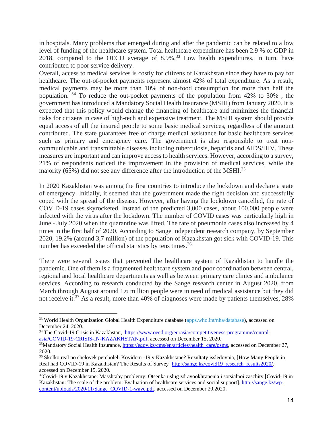in hospitals. Many problems that emerged during and after the pandemic can be related to a low level of funding of the healthcare system. Total healthcare expenditure has been 2.9 % of GDP in 2018, compared to the OECD average of  $8.9\%$ <sup>33</sup> Low health expenditures, in turn, have contributed to poor service delivery.

Overall, access to medical services is costly for citizens of Kazakhstan since they have to pay for healthcare. The out-of-pocket payments represent almost 42% of total expenditure. As a result, medical payments may be more than 10% of non-food consumption for more than half the population.  $34$  To reduce the out-pocket payments of the population from 42% to 30%, the government has introduced a Mandatory Social Health Insurance (MSHI) from January 2020. It is expected that this policy would change the financing of healthcare and minimizes the financial risks for citizens in case of high-tech and expensive treatment. The MSHI system should provide equal access of all the insured people to some basic medical services, regardless of the amount contributed. The state guarantees free of charge medical assistance for basic healthcare services such as primary and emergency care. The government is also responsible to treat noncommunicable and transmittable diseases including tuberculosis, hepatitis and AIDS/HIV. These measures are important and can improve access to health services. However, according to a survey, 21% of respondents noticed the improvement in the provision of medical services, while the majority (65%) did not see any difference after the introduction of the MSHI.<sup>35</sup>

In 2020 Kazakhstan was among the first countries to introduce the lockdown and declare a state of emergency. Initially, it seemed that the government made the right decision and successfully coped with the spread of the disease. However, after having the lockdown cancelled, the rate of COVID-19 cases skyrocketed. Instead of the predicted 3,000 cases, about 100,000 people were infected with the virus after the lockdown. The number of COVID cases was particularly high in June - July 2020 when the quarantine was lifted. The rate of pneumonia cases also increased by 4 times in the first half of 2020. According to Sange independent research company, by September 2020, 19.2% (around 3,7 million) of the population of Kazakhstan got sick with COVID-19. This number has exceeded the official statistics by tens times.<sup>36</sup>

There were several issues that prevented the healthcare system of Kazakhstan to handle the pandemic. One of them is a fragmented healthcare system and poor coordination between central, regional and local healthcare departments as well as between primary care clinics and ambulance services. According to research conducted by the Sange research center in August 2020, from March through August around 1.6 million people were in need of medical assistance but they did not receive it.<sup>37</sup> As a result, more than 40% of diagnoses were made by patients themselves, 28%

<sup>&</sup>lt;sup>33</sup> World Health Organization Global Health Expenditure database [\(apps.who.int/nha/database\)](http://apps.who.int/nha/database), accessed on December 24, 2020.

<sup>&</sup>lt;sup>34</sup> The Covid-19 Crisis in Kazakhstan, [https://www.oecd.org/eurasia/competitiveness-programme/central](https://www.oecd.org/eurasia/competitiveness-programme/central-asia/COVID-19-CRISIS-IN-KAZAKHSTAN.pdf)[asia/COVID-19-CRISIS-IN-KAZAKHSTAN.pdf,](https://www.oecd.org/eurasia/competitiveness-programme/central-asia/COVID-19-CRISIS-IN-KAZAKHSTAN.pdf) accessed on December 15, 2020.

<sup>&</sup>lt;sup>35</sup>Mandatory Social Health Insurance, [https://egov.kz/cms/en/articles/health\\_care/osms,](https://egov.kz/cms/en/articles/health_care/osms) accessed on December 27, 2020.

<sup>&</sup>lt;sup>36</sup> Skolko real no chelovek pereboleli Kovidom -19 v Kazakhstane? Rezultaty issledovnia, [How Many People in Real had COVID-19 in Kazakhstan? The Results of Survey] [http://sange.kz/covid19\\_research\\_results2020/,](http://sange.kz/covid19_research_results2020/) accessed on December 15, 2020.

<sup>37</sup>Covid-19 v Kazakhstane: Masshtaby problemy: Otsenka uslug zdravookhranenia i sotsialnoi zaschity [Covid-19 in Kazakhstan: The scale of the problem: Evaluation of healthcare services and social support]. [http://sange.kz/wp](http://sange.kz/wp-content/uploads/2020/11/Sange_COVID-1-wave.pdf)[content/uploads/2020/11/Sange\\_COVID-1-wave.pdf,](http://sange.kz/wp-content/uploads/2020/11/Sange_COVID-1-wave.pdf) accessed on December 20,2020.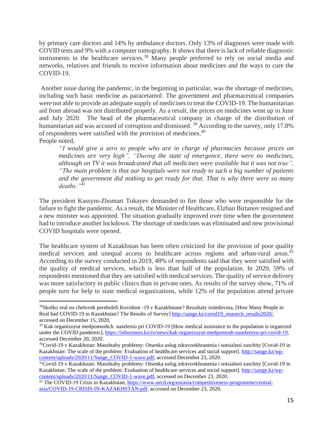by primary care doctors and 14% by ambulance doctors. Only 13% of diagnoses were made with COVID tests and 9% with a computer tomography. It shows that there is lack of reliable diagnostic instruments in the healthcare services.<sup>38</sup> Many people preferred to rely on social media and networks, relatives and friends to receive information about medicines and the ways to cure the COVID-19.

Another issue during the pandemic, in the beginning in particular, was the shortage of medicines, including such basic medicine as paracetamol. The government and pharmaceutical companies were not able to provide an adequate supply of medicines to treat the COVID-19. The humanitarian aid from abroad was not distributed properly. As a result, the prices on medicines went up in June and July 2020. The head of the pharmaceutical company in charge of the distribution of humanitarian aid was accused of corruption and dismissed. <sup>39</sup> According to the survey, only 17.8% of respondents were satisfied with the provision of medicines.<sup>40</sup> People noted,

*"I would give a zero to people who are in charge of pharmacies because prices on medicines are very high", "During the state of emergence, there were no medicines, although on TV it was broadcasted that all medicines were available but it was not true", "The main problem is that our hospitals were not ready to such a big number of patients and the government did nothing to get ready for that. That is why there were so many deaths."*<sup>41</sup>

The president Kassym-Zhomart Tokayev demanded to fire those who were responsible for the failure to fight the pandemic. As a result, the Minister of Healthcare, Elzhan Birtanov resigned and a new minister was appointed. The situation gradually improved over time when the government had to introduce another lockdown. The shortage of medicines was eliminated and new provisional COVID hospitals were opened.

The healthcare system of Kazakhstan has been often criticized for the provision of poor quality medical services and unequal access to healthcare across regions and urban-rural areas.<sup>42</sup> According to the survey conducted in 2019, 48% of respondents said that they were satisfied with the quality of medical services, which is less than half of the population. In 2020, 59% of respondents mentioned that they are satisfied with medical services. The quality of service delivery was more satisfactory in public clinics than in private ones. As results of the survey show, 71% of people turn for help to state medical organizations, while 12% of the population attend private

<sup>&</sup>lt;sup>38</sup>Skolko real no chelovek pereboleli Kovidom -19 v Kazakhstane? Rezultaty issledovnia, [How Many People in Real had COVID-19 in Kazakhstan? The Results of Survey] [http://sange.kz/covid19\\_research\\_results2020/,](http://sange.kz/covid19_research_results2020/) accessed on December 15, 2020.

<sup>&</sup>lt;sup>39</sup> Kak organizuyut medpomoshch naseleniu pri COVID-19 [How medical assistance to the population is organized under the COVID pandemic], [https://inbusiness.kz/ru/news/kak-organizuyut-medpomosh-naseleniyu-pri-covid-19,](https://inbusiness.kz/ru/news/kak-organizuyut-medpomosh-naseleniyu-pri-covid-19) accessed December 20, 2020.

<sup>40</sup>Covid-19 v Kazakhstan: Masshtaby problemy: Otsenka uslug zdravookhranenia i sotsialnoi zaschity [Covid-19 in Kazakhstan: The scale of the problem: Evaluation of healthcare services and social support]. [http://sange.kz/wp](http://sange.kz/wp-content/uploads/2020/11/Sange_COVID-1-wave.pdf)[content/uploads/2020/11/Sange\\_COVID-1-wave.pdf,](http://sange.kz/wp-content/uploads/2020/11/Sange_COVID-1-wave.pdf) accessed December 23, 2020.

<sup>41</sup>Covid-19 v Kazakhstan: Masshtaby problemy: Otsenka uslug zdravookhranenia i sotsialnoi zaschity [Covid-19 in Kazakhstan: The scale of the problem: Evaluation of healthcare services and social support]. [http://sange.kz/wp](http://sange.kz/wp-content/uploads/2020/11/Sange_COVID-1-wave.pdf)[content/uploads/2020/11/Sange\\_COVID-1-wave.pdf,](http://sange.kz/wp-content/uploads/2020/11/Sange_COVID-1-wave.pdf) accessed on December 23, 2020.

<sup>&</sup>lt;sup>42</sup> The COVID-19 Crisis in Kazakhstan, [https://www.oecd.org/eurasia/competitiveness-programme/central](https://www.oecd.org/eurasia/competitiveness-programme/central-asia/COVID-19-CRISIS-IN-KAZAKHSTAN.pdf)[asia/COVID-19-CRISIS-IN-KAZAKHSTAN.pdf,](https://www.oecd.org/eurasia/competitiveness-programme/central-asia/COVID-19-CRISIS-IN-KAZAKHSTAN.pdf) accessed on December 23, 2020.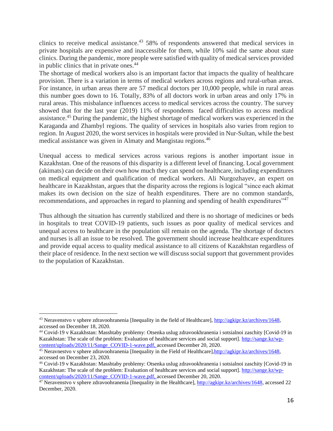clinics to receive medical assistance.<sup>43</sup> 58% of respondents answered that medical services in private hospitals are expensive and inaccessible for them, while 10% said the same about state clinics. During the pandemic, more people were satisfied with quality of medical services provided in public clinics that in private ones.<sup>44</sup>

The shortage of medical workers also is an important factor that impacts the quality of healthcare provision. There is a variation in terms of medical workers across regions and rural-urban areas. For instance, in urban areas there are 57 medical doctors per 10,000 people, while in rural areas this number goes down to 16. Totally, 83% of all doctors work in urban areas and only 17% in rural areas. This misbalance influences access to medical services across the country. The survey showed that for the last year (2019) 11% of respondents faced difficulties to access medical assistance.<sup>45</sup> During the pandemic, the highest shortage of medical workers was experienced in the Karaganda and Zhambyl regions. The quality of services in hospitals also varies from region to region. In August 2020, the worst services in hospitals were provided in Nur-Sultan, while the best medical assistance was given in Almaty and Mangistau regions.<sup>46</sup>

Unequal access to medical services across various regions is another important issue in Kazakhstan. One of the reasons of this disparity is a different level of financing. Local government (akimats) can decide on their own how much they can spend on healthcare, including expenditures on medical equipment and qualification of medical workers. Ali Nurgozhayev, an expert on healthcare in Kazakhstan, argues that the disparity across the regions is logical "since each akimat makes its own decision on the size of health expenditures. There are no common standards, recommendations, and approaches in regard to planning and spending of health expenditures<sup>147</sup>

Thus although the situation has currently stabilized and there is no shortage of medicines or beds in hospitals to treat COVID-19 patients, such issues as poor quality of medical services and unequal access to healthcare in the population sill remain on the agenda. The shortage of doctors and nurses is all an issue to be resolved. The government should increase healthcare expenditures and provide equal access to quality medical assistance to all citizens of Kazakhstan regardless of their place of residence. In the next section we will discuss social support that government provides to the population of Kazakhstan.

<sup>&</sup>lt;sup>43</sup> Neravenstvo v sphere zdravoohranenia [Inequality in the field of Healthcare], [http://agkipr.kz/archives/1648,](http://agkipr.kz/archives/1648) accessed on December 18, 2020.

<sup>44</sup> Covid-19 v Kazakhstan: Masshtaby problemy: Otsenka uslug zdravookhranenia i sotsialnoi zaschity [Covid-19 in Kazakhstan: The scale of the problem: Evaluation of healthcare services and social support]. [http://sange.kz/wp](http://sange.kz/wp-content/uploads/2020/11/Sange_COVID-1-wave.pdf)[content/uploads/2020/11/Sange\\_COVID-1-wave.pdf,](http://sange.kz/wp-content/uploads/2020/11/Sange_COVID-1-wave.pdf) accessed December 20, 2020.

<sup>45</sup> Neravnestvo v sphere zdravoohranenia [Inequality in the Field of Healthcare[\],http://agkipr.kz/archives/1648,](http://agkipr.kz/archives/1648) accessed on December 23, 2020.

<sup>46</sup> Covid-19 v Kazakhstan: Masshtaby problemy: Otsenka uslug zdravookhranenia i sotsialnoi zaschity [Covid-19 in Kazakhstan: The scale of the problem: Evaluation of healthcare services and social support]. [http://sange.kz/wp](http://sange.kz/wp-content/uploads/2020/11/Sange_COVID-1-wave.pdf)[content/uploads/2020/11/Sange\\_COVID-1-wave.pdf,](http://sange.kz/wp-content/uploads/2020/11/Sange_COVID-1-wave.pdf) accessed December 20, 2020.

<sup>&</sup>lt;sup>47</sup> Neravenstvo v sphere zdravoohranenia [Inequality in the Healthcare],  $\frac{http://agkipkz/archives/1648}{http://agkipkz/archives/1648}$ , accessed 22 December, 2020.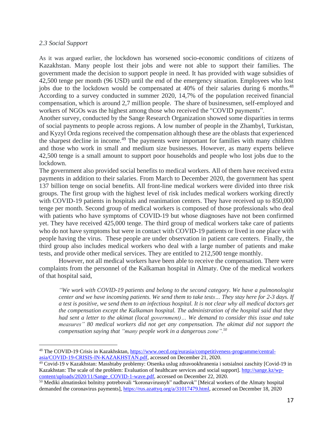#### *2.3 Social Support*

As it was argued earlier, the lockdown has worsened socio-economic conditions of citizens of Kazakhstan. Many people lost their jobs and were not able to support their families. The government made the decision to support people in need. It has provided with wage subsidies of 42,500 tenge per month (96 USD) until the end of the emergency situation. Employees who lost jobs due to the lockdown would be compensated at 40% of their salaries during 6 months.<sup>48</sup> According to a survey conducted in summer 2020, 14,7% of the population received financial compensation, which is around 2,7 million people. The share of businessmen, self-employed and workers of NGOs was the highest among those who received the "COVID payments".

Another survey, conducted by the Sange Research Organization showed some disparities in terms of social payments to people across regions. A low number of people in the Zhambyl, Turkistan, and Kyzyl Orda regions received the compensation although these are the oblasts that experienced the sharpest decline in income.<sup>49</sup> The payments were important for families with many children and those who work in small and medium size businesses. However, as many experts believe 42,500 tenge is a small amount to support poor households and people who lost jobs due to the lockdown.

The government also provided social benefits to medical workers. All of them have received extra payments in addition to their salaries. From March to December 2020, the government has spent 137 billion tenge on social benefits. All front-line medical workers were divided into three risk groups. The first group with the highest level of risk includes medical workers working directly with COVID-19 patients in hospitals and reanimation centers. They have received up to 850,000 tenge per month. Second group of medical workers is composed of those professionals who deal with patients who have symptoms of COVID-19 but whose diagnoses have not been confirmed yet. They have received 425,000 tenge. The third group of medical workers take care of patients who do not have symptoms but were in contact with COVID-19 patients or lived in one place with people having the virus. These people are under observation in patient care centers. Finally, the third group also includes medical workers who deal with a large number of patients and make tests, and provide other medical services. They are entitled to 212,500 tenge monthly.

However, not all medical workers have been able to receive the compensation. There were complaints from the personnel of the Kalkaman hospital in Almaty. One of the medical workers of that hospital said,

*"We work with COVID-19 patients and belong to the second category. We have a pulmonologist* center and we have incoming patients. We send them to take tests... They stay here for 2-3 days. If a test is positive, we send them to an infectious hospital. It is not clear why all medical doctors get *the compensation except the Kalkaman hospital. The administration of the hospital said that they had sent a letter to the akimat (local government)… We demand to consider this issue and take measures" 80 medical workers did not get any compensation. The akimat did not support the compensation saying that "many people work in a dangerous zone".<sup>50</sup>*

<sup>&</sup>lt;sup>48</sup> The COVID-19 Crisis in Kazakhsktan, [https://www.oecd.org/eurasia/competitiveness-programme/central](https://www.oecd.org/eurasia/competitiveness-programme/central-asia/COVID-19-CRISIS-IN-KAZAKHSTAN.pdf)[asia/COVID-19-CRISIS-IN-KAZAKHSTAN.pdf,](https://www.oecd.org/eurasia/competitiveness-programme/central-asia/COVID-19-CRISIS-IN-KAZAKHSTAN.pdf) accessed on December 21, 2020.

<sup>49</sup> Covid-19 v Kazakhstan: Masshtaby problemy: Otsenka uslug zdravookhranenia i sotsialnoi zaschity [Covid-19 in Kazakhstan: The scale of the problem: Evaluation of healthcare services and social support]. [http://sange.kz/wp](http://sange.kz/wp-content/uploads/2020/11/Sange_COVID-1-wave.pdf)[content/uploads/2020/11/Sange\\_COVID-1-wave.pdf,](http://sange.kz/wp-content/uploads/2020/11/Sange_COVID-1-wave.pdf) accessed on December 22, 2020.

<sup>&</sup>lt;sup>50</sup> Mediki almatinskoi bolnitsy potrebovali "koronavirusnyh" nadbavok" [Meical workers of the Almaty hospital demanded the coronavirus payments], [https://rus.azattyq.org/a/31017479.html,](https://rus.azattyq.org/a/31017479.html) accessed on December 18, 2020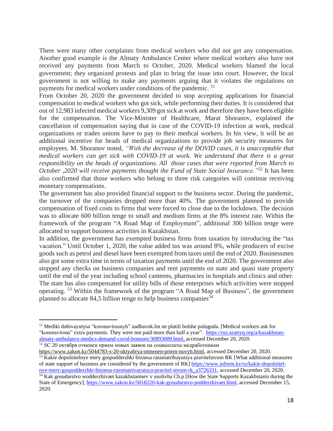There were many other complaints from medical workers who did not get any compensation. Another good example is the Almaty Ambulance Center where medical workers also have not received any payments from March to October, 2020. Medical workers blamed the local government; they organized protests and plan to bring the issue into court. However, the local government is not willing to make any payments arguing that it violates the regulations on payments for medical workers under conditions of the pandemic. <sup>51</sup>

From October 20, 2020 the government decided to stop accepting applications for financial compensation to medical workers who got sick, while performing their duties. It is considered that out of 12,983 infected medical workers 9,309 gotsick at work and therefore they have been eligible for the compensation. The Vice-Minister of Healthcare, Marat Shoranov, explained the cancellation of compensation saying that in case of the COVID-19 infection at work, medical organizations or trades unions have to pay to their medical workers. In his view, it will be an additional incentive for heads of medical organizations to provide job security measures for employees. M. Shoranov noted, *"With the decrease of the DOVID cases, it is unacceptable that medical workers can get sick with COVID-19 at work. We understand that there is a great responsibility on the heads of organizations. All those cases that were reported from March to October ,2020 will receive payments thought the Fund of State Social Insurance."*<sup>52</sup> It has been also confirmed that those workers who belong to three risk categories will continue receiving monetary compensations.

The government has also provided financial support to the business sector. During the pandemic, the turnover of the companies dropped more than 40%. The government planned to provide compensation of fixed costs to firms that were forced to close due to the lockdown. The decision was to allocate 600 billion tenge to small and medium firms at the 8% interest rate. Within the framework of the program "A Road Map of Employment", additional 300 billion tenge were allocated to support business activities in Kazakhstan.

In addition, the government has exempted business firms from taxation by introducing the "tax vacation." Until October 1, 2020, the value added tax was around 8%, while producers of excise goods such as petrol and diesel have been exempted from taxes until the end of 2020. Businessmen also got some extra time in terms of taxation payments until the end of 2020. The government also stopped any checks on business companies and rent payments on state and quasi state property until the end of the year including school canteens, pharmacies in hospitals and clinics and other. The state has also compensated for utility bills of those enterprises which activities were stopped operating. <sup>53</sup> Within the framework of the program "A Road Map of Business", the government planned to allocate 84,5 billion tenge to help business companies<sup>54</sup>

<sup>51</sup> Mediki dobivayutysa "koronavirusnyh" nadbavok.Im ne platili bolshe polugoda. [Medical workers ask for "konoravirous" extra payments. They were not paid more than half a year". [https://rus.azattyq.org/a/kazakhstan](https://rus.azattyq.org/a/kazakhstan-almaty-ambulance-medics-demand-covid-bonuses/30893009.html)[almaty-ambulance-medics-demand-covid-bonuses/30893009.html,](https://rus.azattyq.org/a/kazakhstan-almaty-ambulance-medics-demand-covid-bonuses/30893009.html) accessed December 20, 2020.  $52$  SC 20 октября отменен прием новых заявок на соцвыплаты медработникам

[https://www.zakon.kz/5044783-s-20-oktyabrya-otmenen-priem-novyh.html,](https://www.zakon.kz/5044783-s-20-oktyabrya-otmenen-priem-novyh.html) accessed December 20, 2020. <sup>53</sup> Kakie dopolnitelnye mery gospodderzhki biznesa rassmatribayutsya pravitelstvom RK [What additional measures of state support of business are considered by the government of RK] [https://www.inform.kz/ru/kakie-dopolnitel](https://www.inform.kz/ru/kakie-dopolnitel-nye-mery-gospodderzhki-biznesa-rassmatrivayutsya-pravitel-stvom-rk_a3726331)[nye-mery-gospodderzhki-biznesa-rassmatrivayutsya-pravitel-stvom-rk\\_a3726331,](https://www.inform.kz/ru/kakie-dopolnitel-nye-mery-gospodderzhki-biznesa-rassmatrivayutsya-pravitel-stvom-rk_a3726331) accessed December 20, 2020.

<sup>&</sup>lt;sup>54</sup> Kak gosudarstvo wodderzhivaet kazakhstantsev v usolivha Ch.p [How the State Supports Kazakhstanis during the State of Emergency], [https://www.zakon.kz/5018220-kak-gosudarstvo-podderzhivaet.html,](https://www.zakon.kz/5018220-kak-gosudarstvo-podderzhivaet.html) accessed December 15, 2020.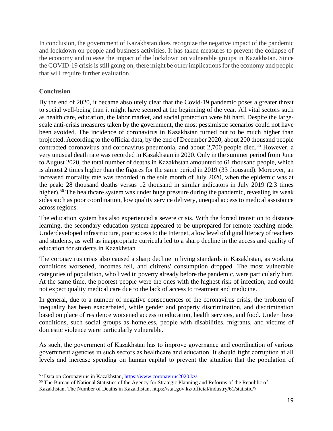In conclusion, the government of Kazakhstan does recognize the negative impact of the pandemic and lockdown on people and business activities. It has taken measures to prevent the collapse of the economy and to ease the impact of the lockdown on vulnerable groups in Kazakhstan. Since the COVID-19 crisis is still going on, there might be other implications for the economy and people that will require further evaluation.

## **Conclusion**

By the end of 2020, it became absolutely clear that the Covid-19 pandemic poses a greater threat to social well-being than it might have seemed at the beginning of the year. All vital sectors such as health care, education, the labor market, and social protection were hit hard. Despite the largescale anti-crisis measures taken by the government, the most pessimistic scenarios could not have been avoided. The incidence of coronavirus in Kazakhstan turned out to be much higher than projected. According to the official data, by the end of December 2020, about 200 thousand people contracted coronavirus and coronavirus pneumonia, and about 2,700 people died.<sup>55</sup> However, a very unusual death rate was recorded in Kazakhstan in 2020. Only in the summer period from June to August 2020, the total number of deaths in Kazakhstan amounted to 61 thousand people, which is almost 2 times higher than the figures for the same period in 2019 (33 thousand). Moreover, an increased mortality rate was recorded in the sole month of July 2020, when the epidemic was at the peak: 28 thousand deaths versus 12 thousand in similar indicators in July 2019 (2.3 times higher).<sup>56</sup> The healthcare system was under huge pressure during the pandemic, revealing its weak sides such as poor coordination, low quality service delivery, unequal access to medical assistance across regions.

The education system has also experienced a severe crisis. With the forced transition to distance learning, the secondary education system appeared to be unprepared for remote teaching mode. Underdeveloped infrastructure, poor accessto the Internet, a low level of digital literacy of teachers and students, as well as inappropriate curricula led to a sharp decline in the access and quality of education for students in Kazakhstan.

The coronavirus crisis also caused a sharp decline in living standards in Kazakhstan, as working conditions worsened, incomes fell, and citizens' consumption dropped. The most vulnerable categories of population, who lived in poverty already before the pandemic, were particularly hurt. At the same time, the poorest people were the ones with the highest risk of infection, and could not expect quality medical care due to the lack of access to treatment and medicine.

In general, due to a number of negative consequences of the coronavirus crisis, the problem of inequality has been exacerbated, while gender and property discrimination, and discrimination based on place of residence worsened access to education, health services, and food. Under these conditions, such social groups as homeless, people with disabilities, migrants, and victims of domestic violence were particularly vulnerable.

As such, the government of Kazakhstan has to improve governance and coordination of various government agencies in such sectors as healthcare and education. It should fight corruption at all levels and increase spending on human capital to prevent the situation that the population of

<sup>55</sup> Data on Coronavirus in Kazakhstan, <https://www.coronavirus2020.kz/>

<sup>&</sup>lt;sup>56</sup> The Bureau of National Statistics of the Agency for Strategic Planning and Reforms of the Republic of Kazakhstan, The Number of Deaths in Kazakhstan, https://stat.gov.kz/official/industry/61/statistic/7